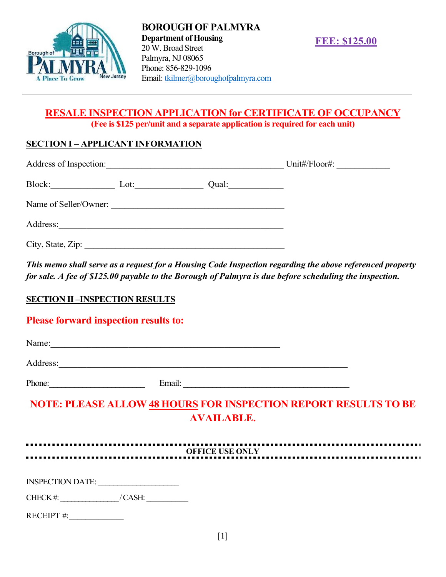

# RESALE INSPECTION APPLICATION for CERTIFICATE OF OCCUPANCY (Fee is \$125 per/unit and a separate application is required for each unit)

# SECTION I – APPLICANT INFORMATION

| Address of Inspection: |      | Unit#/Floor#: |  |  |
|------------------------|------|---------------|--|--|
| Block:                 | Lot: | Qual:         |  |  |
| Name of Seller/Owner:  |      |               |  |  |
| Address:               |      |               |  |  |
| City, State, Zip:      |      |               |  |  |

This memo shall serve as a request for a Housing Code Inspection regarding the above referenced property for sale. A fee of \$125.00 payable to the Borough of Palmyra is due before scheduling the inspection.

# **SECTION II –INSPECTION RESULTS**

# Please forward inspection results to:

| Name:                                                                  |                        |  |  |
|------------------------------------------------------------------------|------------------------|--|--|
| Address:                                                               |                        |  |  |
| Phone:                                                                 | Email:                 |  |  |
| <b>NOTE: PLEASE ALLOW 48 HOURS FOR INSPECTION REPORT RESULTS TO BE</b> | <b>AVAILABLE.</b>      |  |  |
|                                                                        | <b>OFFICE USE ONLY</b> |  |  |
| INSPECTION DATE:                                                       |                        |  |  |
| CHECK#: / CASH:                                                        |                        |  |  |
| RECEIPT#:                                                              |                        |  |  |